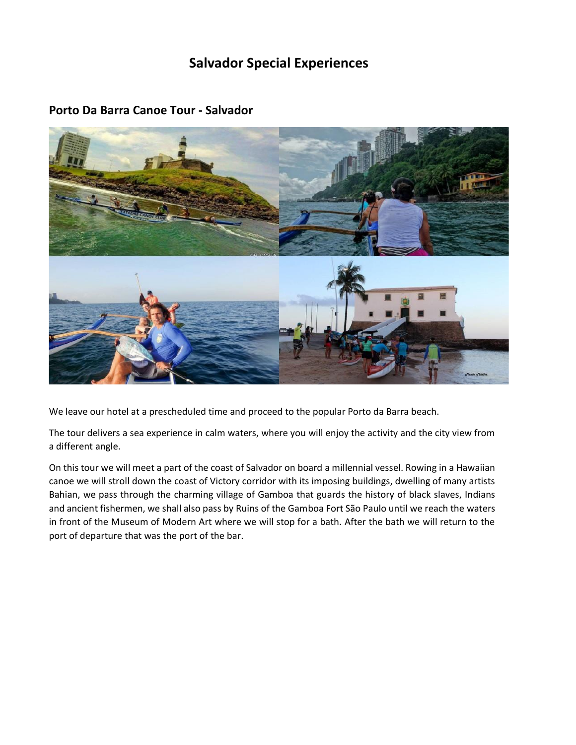# **Salvador Special Experiences**



## **Porto Da Barra Canoe Tour - Salvador**

We leave our hotel at a prescheduled time and proceed to the popular Porto da Barra beach.

The tour delivers a sea experience in calm waters, where you will enjoy the activity and the city view from a different angle.

On this tour we will meet a part of the coast of Salvador on board a millennial vessel. Rowing in a Hawaiian canoe we will stroll down the coast of Victory corridor with its imposing buildings, dwelling of many artists Bahian, we pass through the charming village of Gamboa that guards the history of black slaves, Indians and ancient fishermen, we shall also pass by Ruins of the Gamboa Fort São Paulo until we reach the waters in front of the Museum of Modern Art where we will stop for a bath. After the bath we will return to the port of departure that was the port of the bar.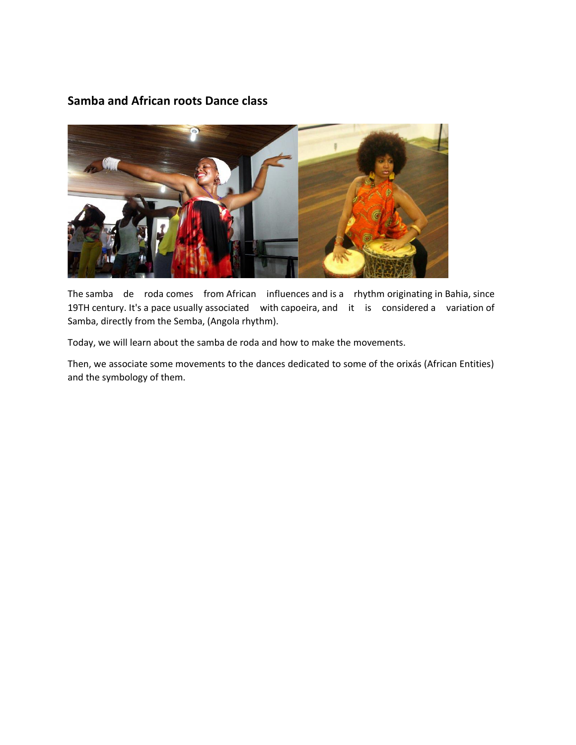#### **Samba and African roots Dance class**



The samba de roda comes from African influences and is a rhythm originating in Bahia, since 19TH century. It's a pace usually associated with capoeira, and it is considered a variation of Samba, directly from the Semba, (Angola rhythm).

Today, we will learn about the samba de roda and how to make the movements.

Then, we associate some movements to the dances dedicated to some of the orixás (African Entities) and the symbology of them.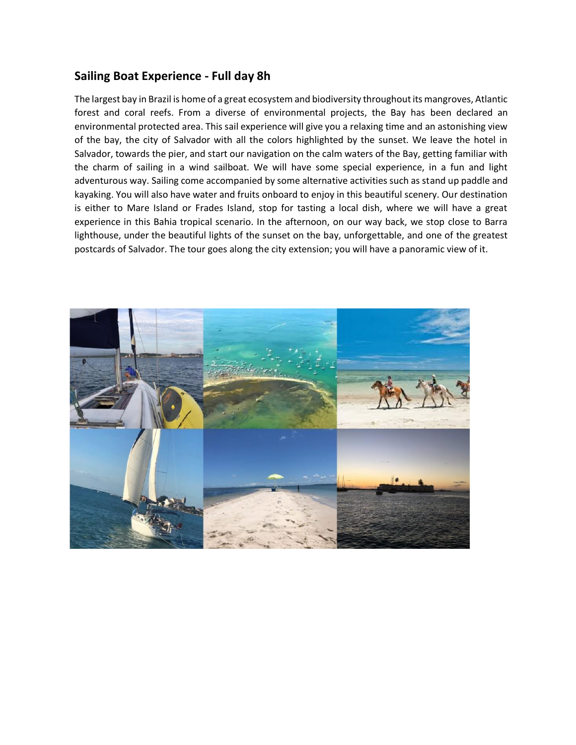### **Sailing Boat Experience - Full day 8h**

The largest bay in Brazil is home of a great ecosystem and biodiversity throughout its mangroves, Atlantic forest and coral reefs. From a diverse of environmental projects, the Bay has been declared an environmental protected area. This sail experience will give you a relaxing time and an astonishing view of the bay, the city of Salvador with all the colors highlighted by the sunset. We leave the hotel in Salvador, towards the pier, and start our navigation on the calm waters of the Bay, getting familiar with the charm of sailing in a wind sailboat. We will have some special experience, in a fun and light adventurous way. Sailing come accompanied by some alternative activities such as stand up paddle and kayaking. You will also have water and fruits onboard to enjoy in this beautiful scenery. Our destination is either to Mare Island or Frades Island, stop for tasting a local dish, where we will have a great experience in this Bahia tropical scenario. In the afternoon, on our way back, we stop close to Barra lighthouse, under the beautiful lights of the sunset on the bay, unforgettable, and one of the greatest postcards of Salvador. The tour goes along the city extension; you will have a panoramic view of it.

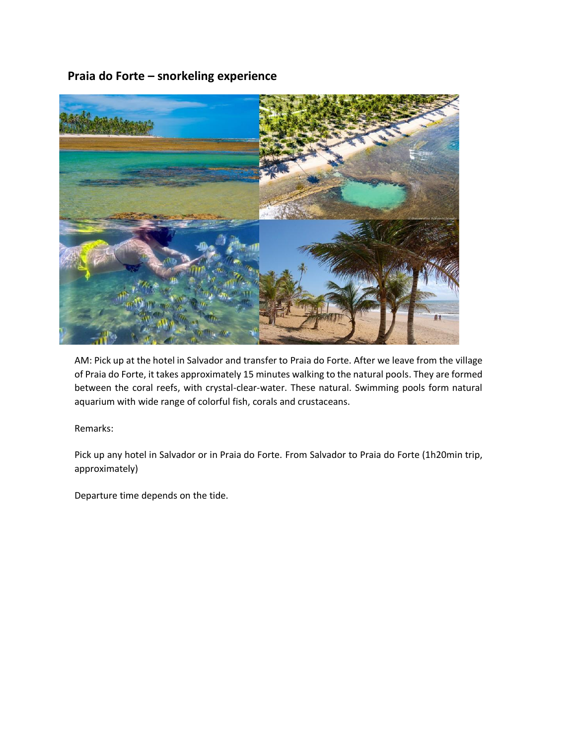**Praia do Forte – snorkeling experience**



AM: Pick up at the hotel in Salvador and transfer to Praia do Forte. After we leave from the village of Praia do Forte, it takes approximately 15 minutes walking to the natural pools. They are formed between the coral reefs, with crystal-clear-water. These natural. Swimming pools form natural aquarium with wide range of colorful fish, corals and crustaceans.

Remarks:

Pick up any hotel in Salvador or in Praia do Forte. From Salvador to Praia do Forte (1h20min trip, approximately)

Departure time depends on the tide.